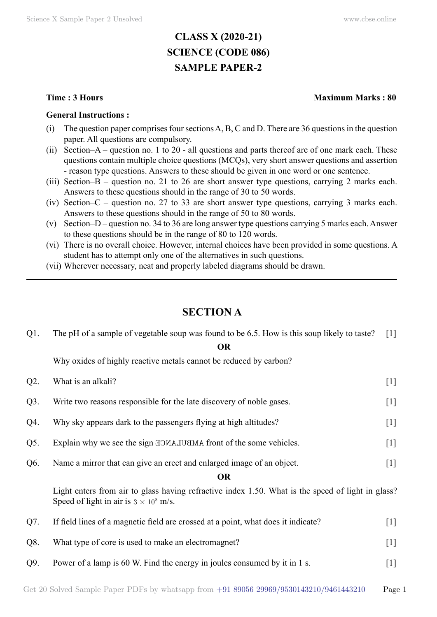# **CLASS X (2020-21) SCIENCE (CODE 086) SAMPLE PAPER-2**

#### **General Instructions :**

- (i) The question paper comprises four sections A, B, C and D. There are 36 questions in the question paper. All questions are compulsory.
- (ii) Section–A question no. 1 to 20 all questions and parts thereof are of one mark each. These questions contain multiple choice questions (MCQs), very short answer questions and assertion - reason type questions. Answers to these should be given in one word or one sentence.
- (iii) Section–B question no. 21 to 26 are short answer type questions, carrying 2 marks each. Answers to these questions should in the range of 30 to 50 words.
- (iv) Section–C question no. 27 to 33 are short answer type questions, carrying 3 marks each. Answers to these questions should in the range of 50 to 80 words.
- (v) Section–D question no. 34 to 36 are long answer type questions carrying 5 marks each. Answer to these questions should be in the range of 80 to 120 words.
- (vi) There is no overall choice. However, internal choices have been provided in some questions. A student has to attempt only one of the alternatives in such questions.
- (vii) Wherever necessary, neat and properly labeled diagrams should be drawn.

## **Section A**

| $Q1$ . | The pH of a sample of vegetable soup was found to be 6.5. How is this soup likely to taste?                                                        | $\lceil 1 \rceil$ |
|--------|----------------------------------------------------------------------------------------------------------------------------------------------------|-------------------|
|        | <b>OR</b>                                                                                                                                          |                   |
|        | Why oxides of highly reactive metals cannot be reduced by carbon?                                                                                  |                   |
| $Q2$ . | What is an alkali?                                                                                                                                 | $[1]$             |
| $Q3$ . | Write two reasons responsible for the late discovery of noble gases.                                                                               | $[1]$             |
| Q4.    | Why sky appears dark to the passengers flying at high altitudes?                                                                                   | $[1]$             |
| Q5.    | Explain why we see the sign EDMAJUEMA front of the some vehicles.                                                                                  | $[1]$             |
| Q6.    | Name a mirror that can give an erect and enlarged image of an object.                                                                              | $[1]$             |
|        | <b>OR</b>                                                                                                                                          |                   |
|        | Light enters from air to glass having refractive index 1.50. What is the speed of light in glass?<br>Speed of light in air is $3 \times 10^8$ m/s. |                   |
| Q7.    | If field lines of a magnetic field are crossed at a point, what does it indicate?                                                                  | $[1]$             |
| Q8.    | What type of core is used to make an electromagnet?                                                                                                | $[1]$             |
| Q9.    | Power of a lamp is 60 W. Find the energy in joules consumed by it in 1 s.                                                                          | $[1]$             |
|        |                                                                                                                                                    |                   |

## **Time : 3 Hours Maximum Marks : 80**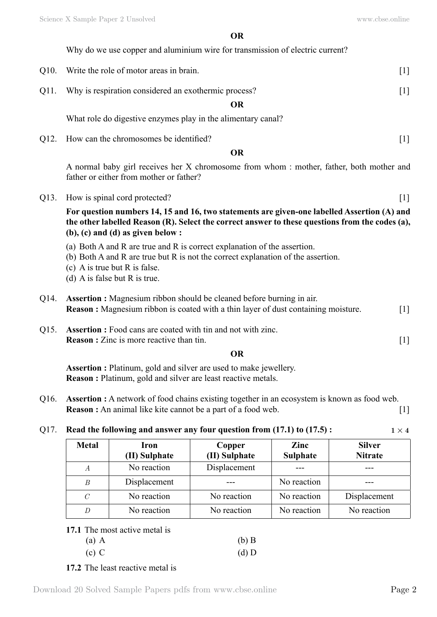**O**

|      | Why do we use copper and aluminium wire for transmission of electric current?                                                                                                                                                              |       |
|------|--------------------------------------------------------------------------------------------------------------------------------------------------------------------------------------------------------------------------------------------|-------|
| Q10. | Write the role of motor areas in brain.                                                                                                                                                                                                    | $[1]$ |
| Q11. | Why is respiration considered an exothermic process?                                                                                                                                                                                       | $[1]$ |
|      | <b>OR</b>                                                                                                                                                                                                                                  |       |
|      | What role do digestive enzymes play in the alimentary canal?                                                                                                                                                                               |       |
| Q12. | How can the chromosomes be identified?                                                                                                                                                                                                     | $[1]$ |
|      | <b>OR</b>                                                                                                                                                                                                                                  |       |
|      | A normal baby girl receives her X chromosome from whom : mother, father, both mother and<br>father or either from mother or father?                                                                                                        |       |
| Q13. | How is spinal cord protected?                                                                                                                                                                                                              | $[1]$ |
|      | For question numbers 14, 15 and 16, two statements are given-one labelled Assertion (A) and<br>the other labelled Reason (R). Select the correct answer to these questions from the codes (a),<br>$(b)$ , $(c)$ and $(d)$ as given below : |       |
|      | (a) Both A and R are true and R is correct explanation of the assertion.<br>(b) Both A and R are true but R is not the correct explanation of the assertion.<br>(c) A is true but $R$ is false.<br>(d) A is false but $R$ is true.         |       |
| Q14. | <b>Assertion :</b> Magnesium ribbon should be cleaned before burning in air.<br><b>Reason :</b> Magnesium ribbon is coated with a thin layer of dust containing moisture.                                                                  | $[1]$ |
| Q15. | <b>Assertion :</b> Food cans are coated with tin and not with zinc.                                                                                                                                                                        |       |

Q15. **Assertion :** Food cans are coated with tin and not with zinc. **Reason :** Zinc is more reactive than tin. [1]

 **O**

**Assertion :** Platinum, gold and silver are used to make jewellery. **Reason :** Platinum, gold and silver are least reactive metals.

Q16. **Assertion :** A network of food chains existing together in an ecosystem is known as food web. **Reason :** An animal like kite cannot be a part of a food web. [1]

## Q17. **Read the following and answer any four question from (17.1) to (17.5):**  $1 \times 4$

| <b>Metal</b>   | Iron<br>(II) Sulphate | Copper<br>(II) Sulphate | Zinc<br><b>Sulphate</b> | <b>Silver</b><br><b>Nitrate</b> |
|----------------|-----------------------|-------------------------|-------------------------|---------------------------------|
| $\overline{A}$ | No reaction           | Displacement            |                         |                                 |
| B              | Displacement          |                         | No reaction             |                                 |
| $\mathcal C$   | No reaction           | No reaction             | No reaction             | Displacement                    |
| D              | No reaction           | No reaction             | No reaction             | No reaction                     |

## **17.1** The most active metal is

| $(a)$ A | $(b)$ B |
|---------|---------|
| $(c)$ C | $(d)$ D |

## **17.2** The least reactive metal is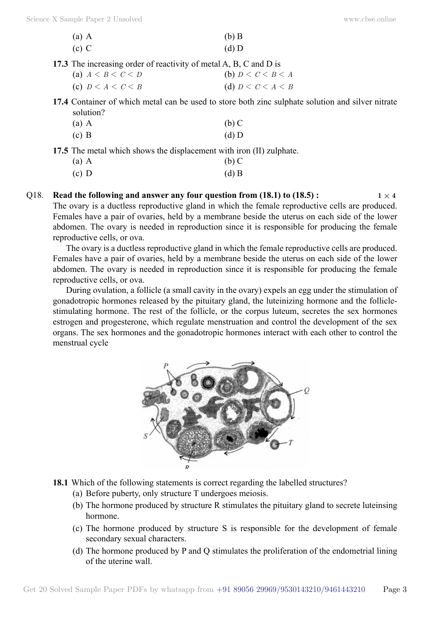| $(a)$ A | $(b)$ B |
|---------|---------|
| $(c)$ C | $(d)$ D |

- **17.3** The increasing order of reactivity of metal A, B, C and D is
	- (a)  $A < B < C < D$  (b)  $D < C < B < A$ (c)  $D \leq A \leq C \leq B$  (d)  $D \leq C \leq A \leq B$
- **17.4** Container of which metal can be used to store both zinc sulphate solution and silver nitrate solution?
	- (a) A (b) C
	- (c) B (d) D

**17.5** The metal which shows the displacement with iron (II) zulphate.

| $(a)$ A | $(b)$ C |
|---------|---------|
|         |         |

- (c) D (d) B
- Q18. **Read the following and answer any four question from (18.1) to (18.5):**  $1 \times 4$ The ovary is a ductless reproductive gland in which the female reproductive cells are produced. Females have a pair of ovaries, held by a membrane beside the uterus on each side of the lower abdomen. The ovary is needed in reproduction since it is responsible for producing the female reproductive cells, or ova.

The ovary is a ductless reproductive gland in which the female reproductive cells are produced. Females have a pair of ovaries, held by a membrane beside the uterus on each side of the lower abdomen. The ovary is needed in reproduction since it is responsible for producing the female reproductive cells, or ova.

During ovulation, a follicle (a small cavity in the ovary) expels an egg under the stimulation of gonadotropic hormones released by the pituitary gland, the luteinizing hormone and the folliclestimulating hormone. The rest of the follicle, or the corpus luteum, secretes the sex hormones estrogen and progesterone, which regulate menstruation and control the development of the sex organs. The sex hormones and the gonadotropic hormones interact with each other to control the menstrual cycle



- **18.1** Which of the following statements is correct regarding the labelled structures?
	- (a) Before puberty, only structure T undergoes meiosis.
	- (b) The hormone produced by structure R stimulates the pituitary gland to secrete luteinsing hormone.
	- (c) The hormone produced by structure S is responsible for the development of female secondary sexual characters.
	- (d) The hormone produced by P and Q stimulates the proliferation of the endometrial lining of the uterine wall.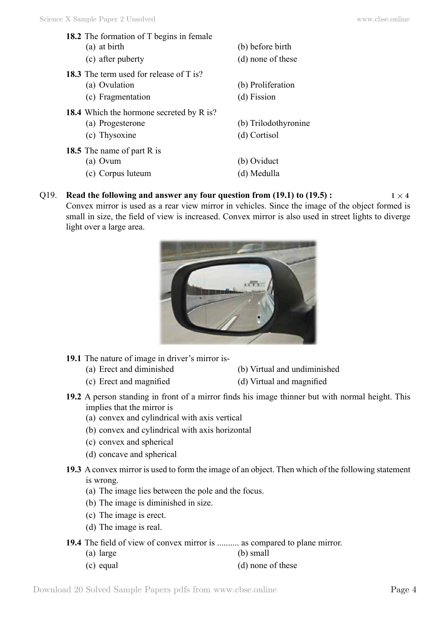- **18.2** The formation of T begins in female (a) at birth (b) before birth
	-
- **18.3** The term used for release of T is?
	-
	- (c) Fragmentation (d) Fission
- **18.4** Which the hormone secreted by R is?
	-
	- (c) Thysoxine (d) Cortisol
- **18.5** The name of part R is
	-
	- (c) Corpus luteum (d) Medulla
- 
- (c) after puberty (d) none of these
- (a) Ovulation (b) Proliferation
	-
- (a) Progesterone (b) Trilodothyronine
	-
- (a) Ovum (b) Oviduct
	-

# Q19. **Read the following and answer any four question from (19.1) to (19.5):**  $1 \times 4$ Convex mirror is used as a rear view mirror in vehicles. Since the image of the object formed is

small in size, the field of view is increased. Convex mirror is also used in street lights to diverge light over a large area.



- **19.1** The nature of image in driver's mirror is-
	- (a) Erect and diminished (b) Virtual and undiminished
	- (c) Erect and magnified (d) Virtual and magnified
- **19.2** A person standing in front of a mirror finds his image thinner but with normal height. This implies that the mirror is
	- (a) convex and cylindrical with axis vertical
	- (b) convex and cylindrical with axis horizontal
	- (c) convex and spherical
	- (d) concave and spherical
- **19.3** A convex mirror is used to form the image of an object. Then which of the following statement is wrong.
	- (a) The image lies between the pole and the focus.
	- (b) The image is diminished in size.
	- (c) The image is erect.
	- (d) The image is real.
- **19.4** The field of view of convex mirror is .......... as compared to plane mirror.
	- (a) large (b) small
	- (c) equal (d) none of these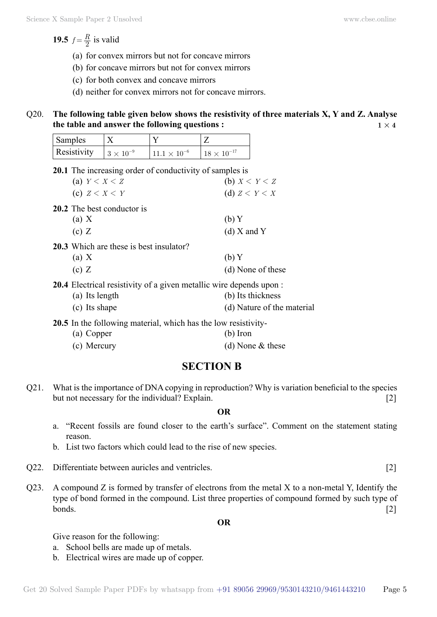**19.5**  $f = \frac{R}{2}$  is valid

- (a) for convex mirrors but not for concave mirrors
- (b) for concave mirrors but not for convex mirrors
- (c) for both convex and concave mirrors
- (d) neither for convex mirrors not for concave mirrors.

## Q20. **The following table given below shows the resistivity of three materials X, Y and Z. Analyse the table and answer the following questions :**  $1 \times 4$

| Samples     |                    |                       |                      |
|-------------|--------------------|-----------------------|----------------------|
| Resistivity | $1.3\times10^{-9}$ | $11.1 \times 10^{-6}$ | $18 \times 10^{-17}$ |

**20.1** The increasing order of conductivity of samples is

| (a) $Y < X < Z$                                | (b) $X \leq Y \leq Z$ |
|------------------------------------------------|-----------------------|
| (c) $Z \leq X \leq Y$                          | (d) $Z \leq Y \leq X$ |
| 20.2 The best conductor is                     |                       |
| (a) X                                          | (b)Y                  |
| (c) Z                                          | $(d)$ X and Y         |
| <b>20.3</b> Which are these is best insulator? |                       |
| (a) X                                          | (b) Y                 |

(c)  $Z$  (d) None of these

**20.4** Electrical resistivity of a given metallic wire depends upon :

- (a) Its length (b) Its thickness
- (c) Its shape (d) Nature of the material

**20.5** In the following material, which has the low resistivity-

- (a) Copper (b) Iron
- (c) Mercury (d) None & these

# **Section B**

Q21. What is the importance of DNA copying in reproduction? Why is variation beneficial to the species but not necessary for the individual? Explain. [2]

 **O**

- a. "Recent fossils are found closer to the earth's surface". Comment on the statement stating reason.
- b. List two factors which could lead to the rise of new species.
- Q22. Differentiate between auricles and ventricles. [2]
- Q23. A compound Z is formed by transfer of electrons from the metal X to a non-metal Y, Identify the type of bond formed in the compound. List three properties of compound formed by such type of  $b$ onds.  $[2]$

 **O**

Give reason for the following:

- a. School bells are made up of metals.
- b. Electrical wires are made up of copper.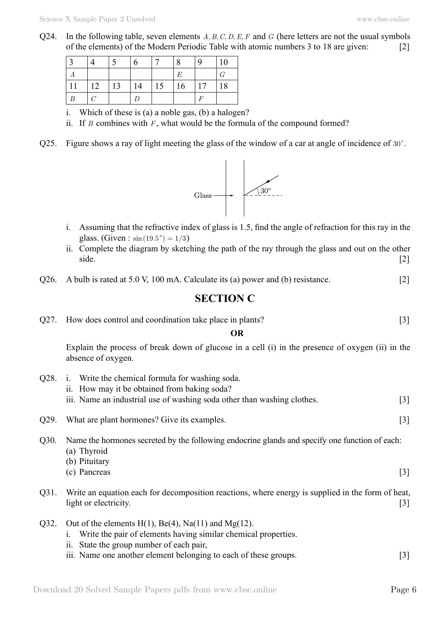Q24. In the following table, seven elements  $A, B, C, D, E, F$  and  $G$  (here letters are not the usual symbols of the elements) of the Modern Periodic Table with atomic numbers 3 to 18 are given: [2]

|    |                        |    | 6  |    | 8  | 9                | 10 |
|----|------------------------|----|----|----|----|------------------|----|
| А  |                        |    |    |    | E  |                  | G  |
| 11 | 12                     | 13 | 14 | 15 | 16 | 17               | 18 |
| B  | $\mathcal{C}^{\prime}$ |    | D  |    |    | $\boldsymbol{F}$ |    |

i. Which of these is (a) a noble gas, (b) a halogen?

- ii. If *B* combines with *F* , what would be the formula of the compound formed?
- Q25. Figure shows a ray of light meeting the glass of the window of a car at angle of incidence of  $30^\circ$ .



- i. Assuming that the refractive index of glass is 1.5, find the angle of refraction for this ray in the glass. (Given :  $\sin(19.5^\circ) = 1/3$ )
- ii. Complete the diagram by sketching the path of the ray through the glass and out on the other side. [2]
- Q26. A bulb is rated at 5.0 V, 100 mA. Calculate its (a) power and (b) resistance. [2]

# **Section C**

Q27. How does control and coordination take place in plants? [3]

 **O**

Explain the process of break down of glucose in a cell (i) in the presence of oxygen (ii) in the absence of oxygen.

- ii. How may it be obtained from baking soda? iii. Name an industrial use of washing soda other than washing clothes. [3] Q29. What are plant hormones? Give its examples. [3] Q30. Name the hormones secreted by the following endocrine glands and specify one function of each: (a) Thyroid (b) Pituitary  $(c)$  Pancreas [3]
- Q31. Write an equation each for decomposition reactions, where energy is supplied in the form of heat, light or electricity. [3]
- Q32. Out of the elements  $H(1)$ ,  $Be(4)$ ,  $Na(11)$  and  $Mg(12)$ .

Q28. i. Write the chemical formula for washing soda.

- i. Write the pair of elements having similar chemical properties.
- ii. State the group number of each pair,
- iii. Name one another element belonging to each of these groups. [3]